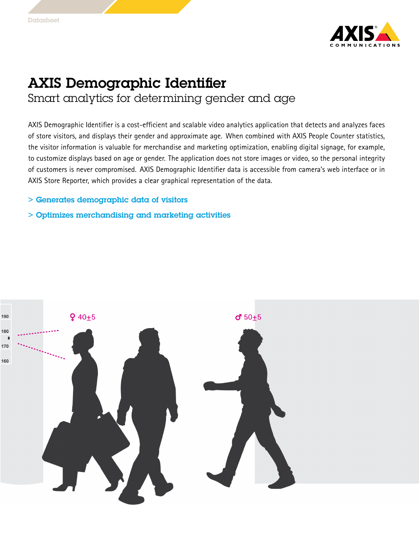

## AXIS Demographic Identifier Smart analytics for determining gender and age

AXIS Demographic Identifier is <sup>a</sup> cost-efficient and scalable video analytics application that detects and analyzes faces of store visitors, and displays their gender and approximate age. When combined with AXIS People Counter statistics, the visitor information is valuable for merchandise and marketing optimization, enabling digital signage, for example, to customize displays based on age or gender. The application does not store images or video, so the personal integrity of customers is never compromised. AXIS Demographic Identifier data is accessible from camera's web interface or in AXIS Store Reporter, which provides <sup>a</sup> clear graphical representation of the data.

- > Generates demographic data of visitors
- > Optimizes merchandising and marketing activities